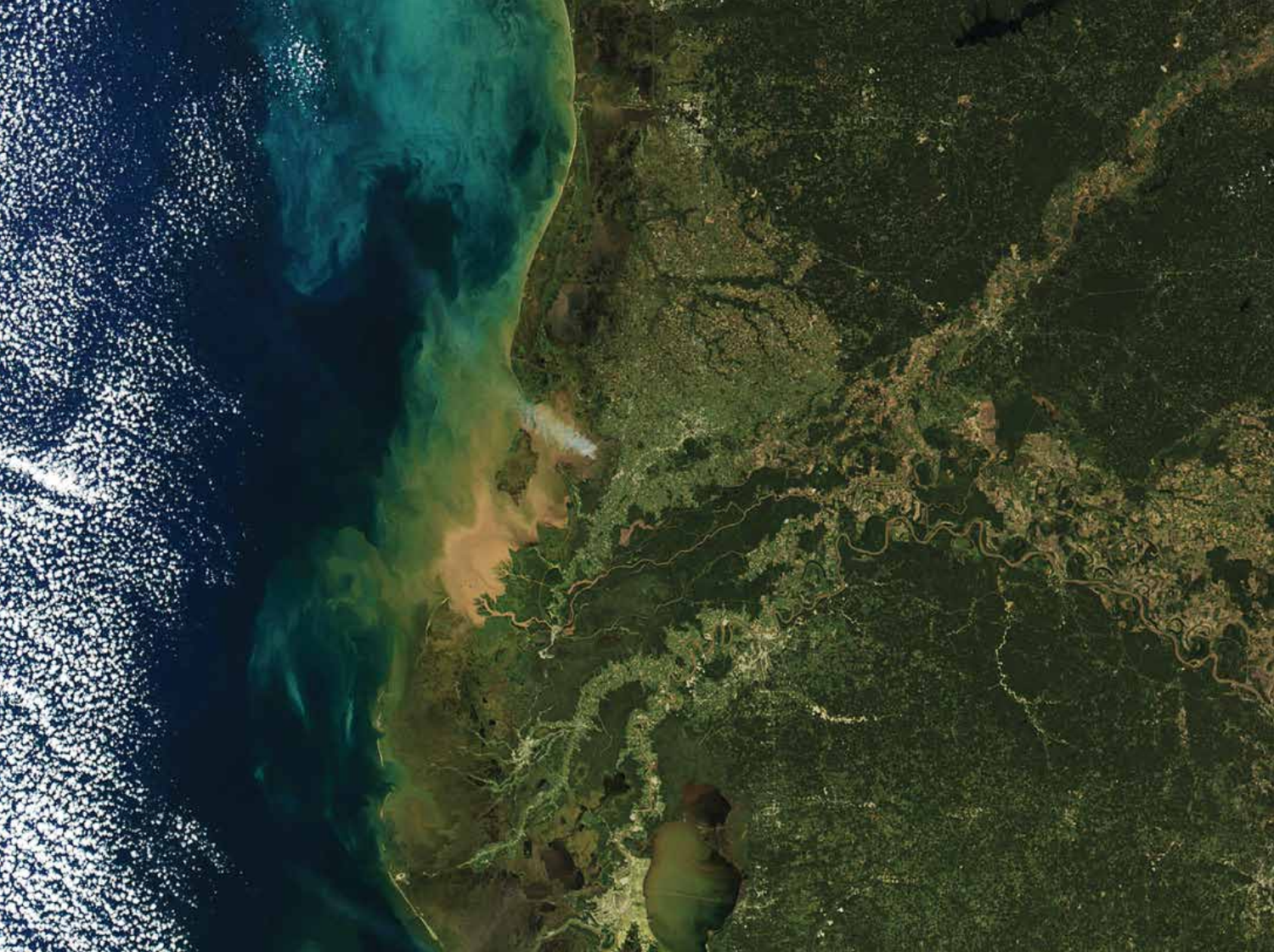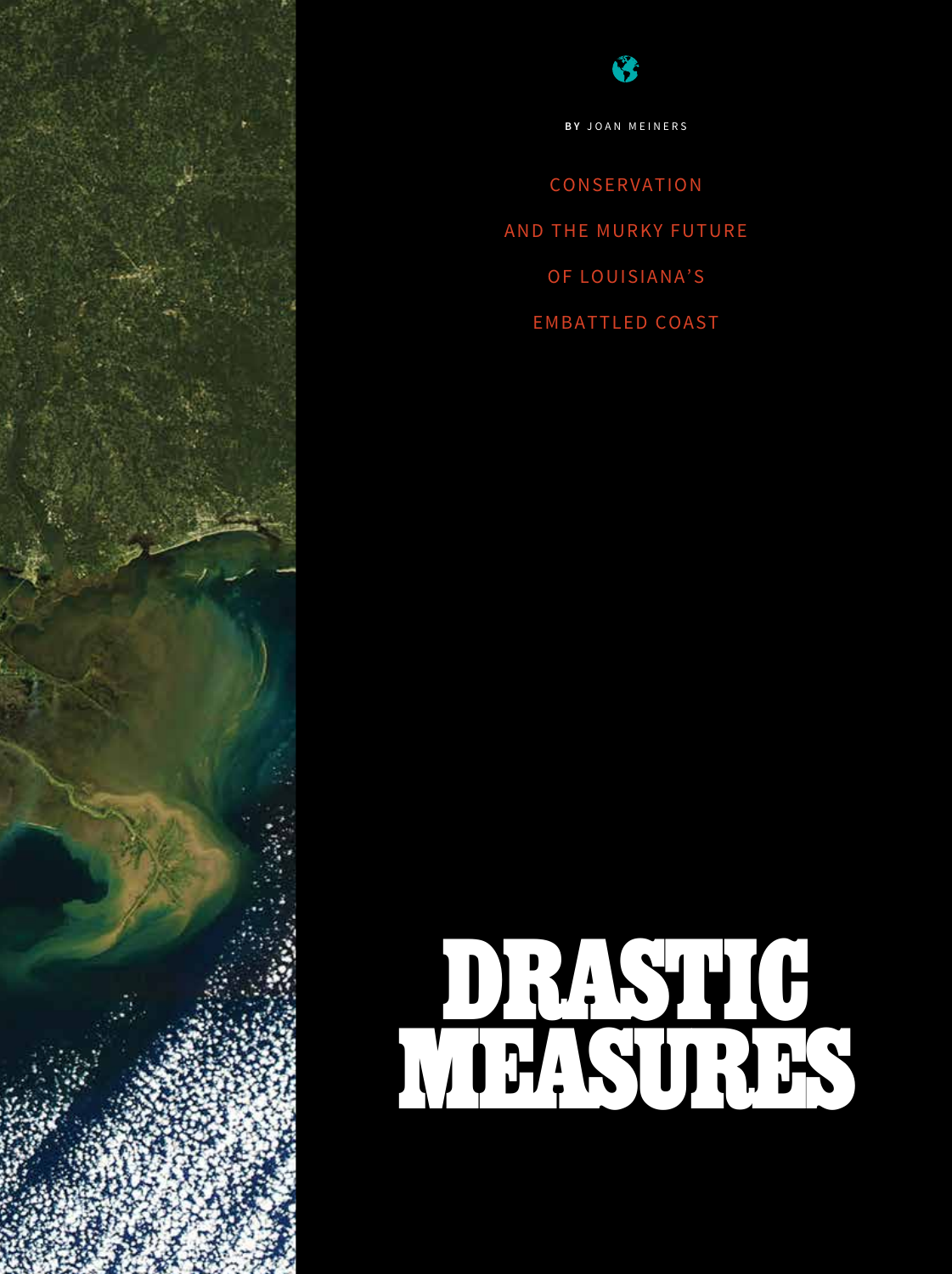



BY JOAN MEINERS

CONSERVATION

AND THE MURKY FUTURE

OF LOUISIANA'S

EMBATTLED COAST

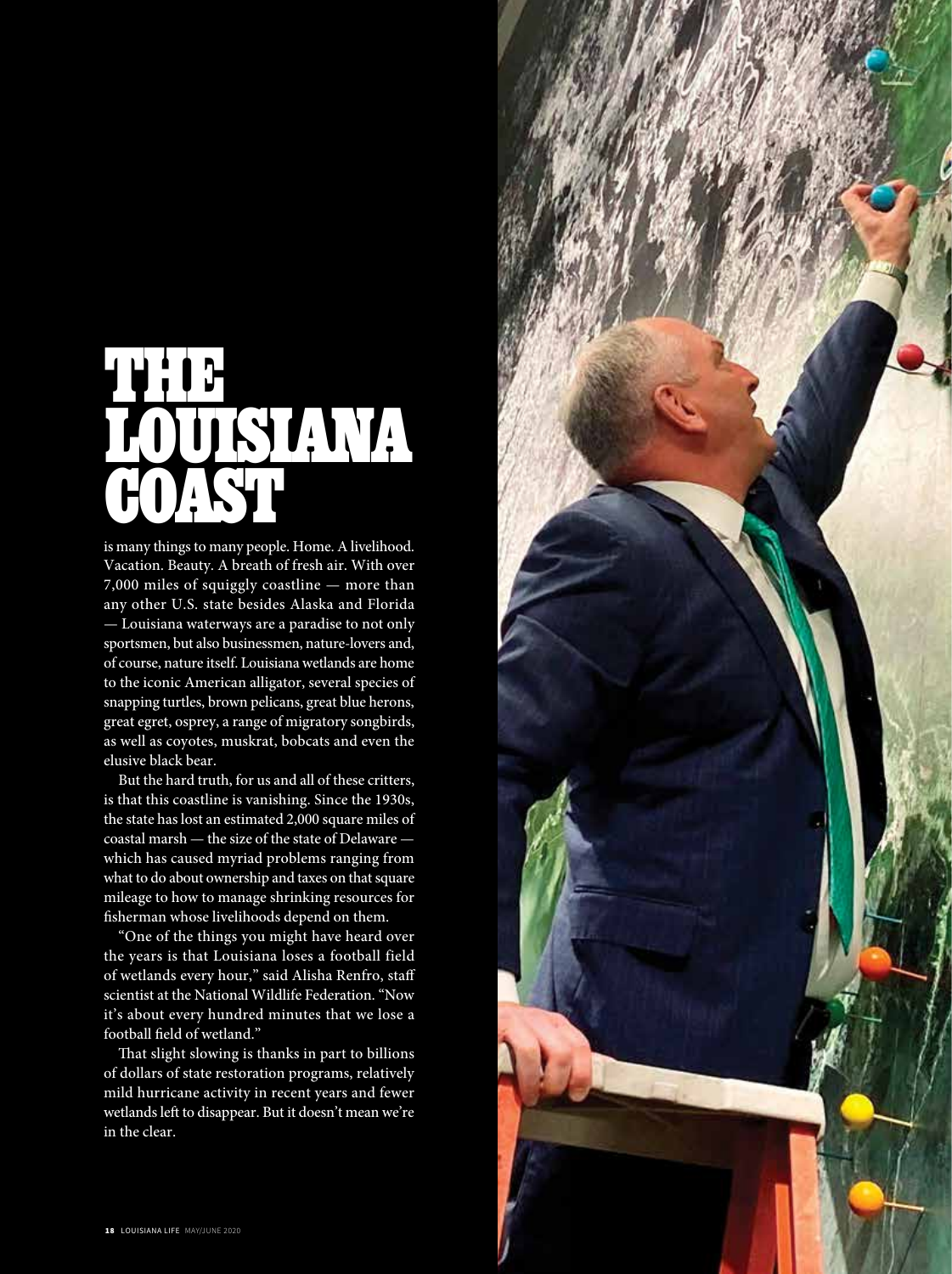# **THE <u>THE</u> LOUISIANA COAST**

is many things to many people. Home. A livelihood. Vacation. Beauty. A breath of fresh air. With over 7,000 miles of squiggly coastline — more than any other U.S. state besides Alaska and Florida — Louisiana waterways are a paradise to not only sportsmen, but also businessmen, nature-lovers and, of course, nature itself. Louisiana wetlands are home to the iconic American alligator, several species of snapping turtles, brown pelicans, great blue herons, great egret, osprey, a range of migratory songbirds, as well as coyotes, muskrat, bobcats and even the elusive black bear.

But the hard truth, for us and all of these critters, is that this coastline is vanishing. Since the 1930s, the state has lost an estimated 2,000 square miles of coastal marsh — the size of the state of Delaware which has caused myriad problems ranging from what to do about ownership and taxes on that square mileage to how to manage shrinking resources for fisherman whose livelihoods depend on them.

"One of the things you might have heard over the years is that Louisiana loses a football field of wetlands every hour," said Alisha Renfro, staff scientist at the National Wildlife Federation. "Now it's about every hundred minutes that we lose a football field of wetland."

That slight slowing is thanks in part to billions of dollars of state restoration programs, relatively mild hurricane activity in recent years and fewer wetlands left to disappear. But it doesn't mean we're in the clear.

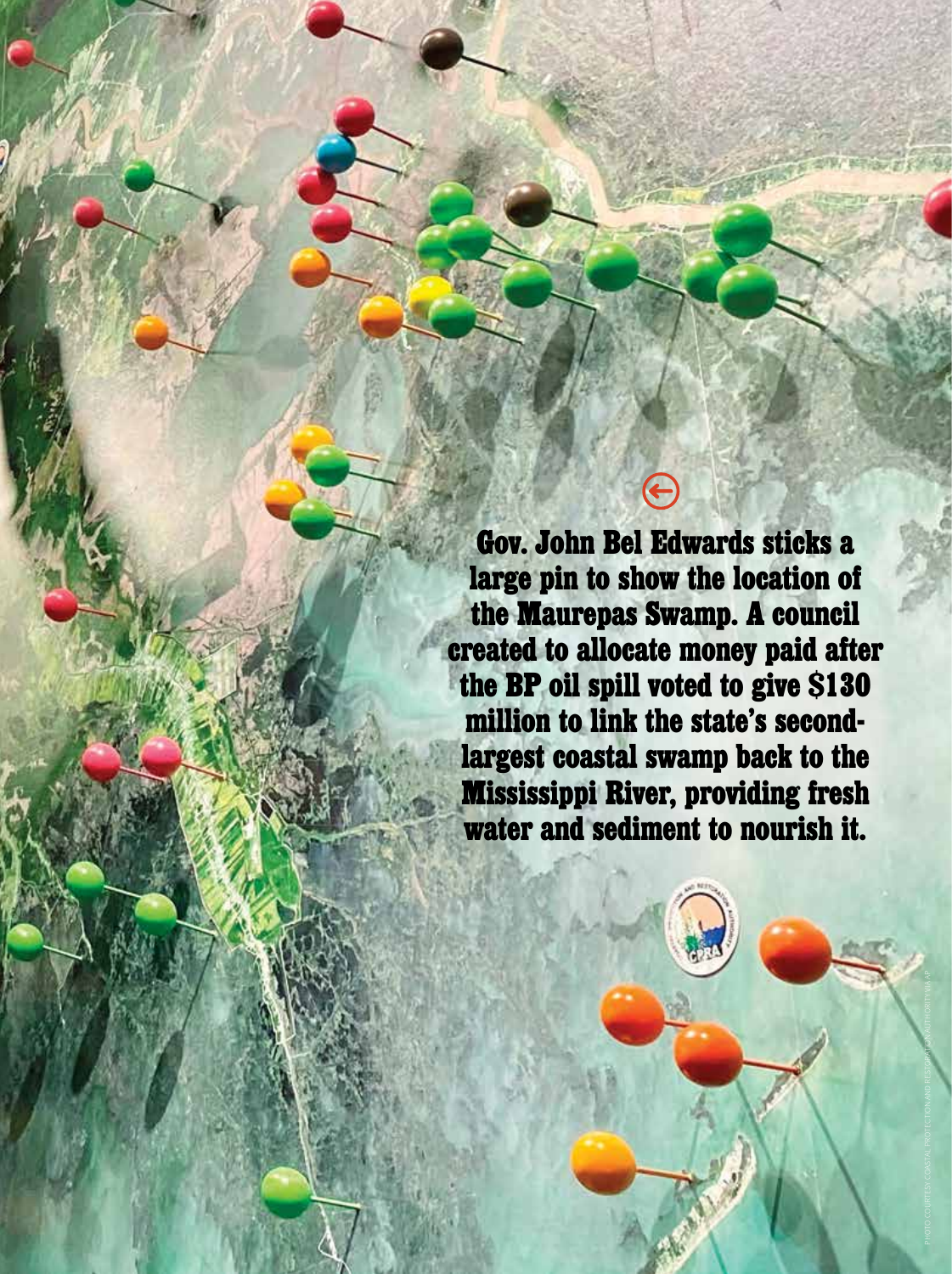**Gov. John Bel Edwards sticks a large pin to show the location of the Maurepas Swamp. A council created to allocate money paid after the BP oil spill voted to give \$130 million to link the state's secondlargest coastal swamp back to the Mississippi River, providing fresh water and sediment to nourish it.** 

PHOTO COURTESY COASTAL PROTECTION AND RESTORATION AUTHORITY VIA AP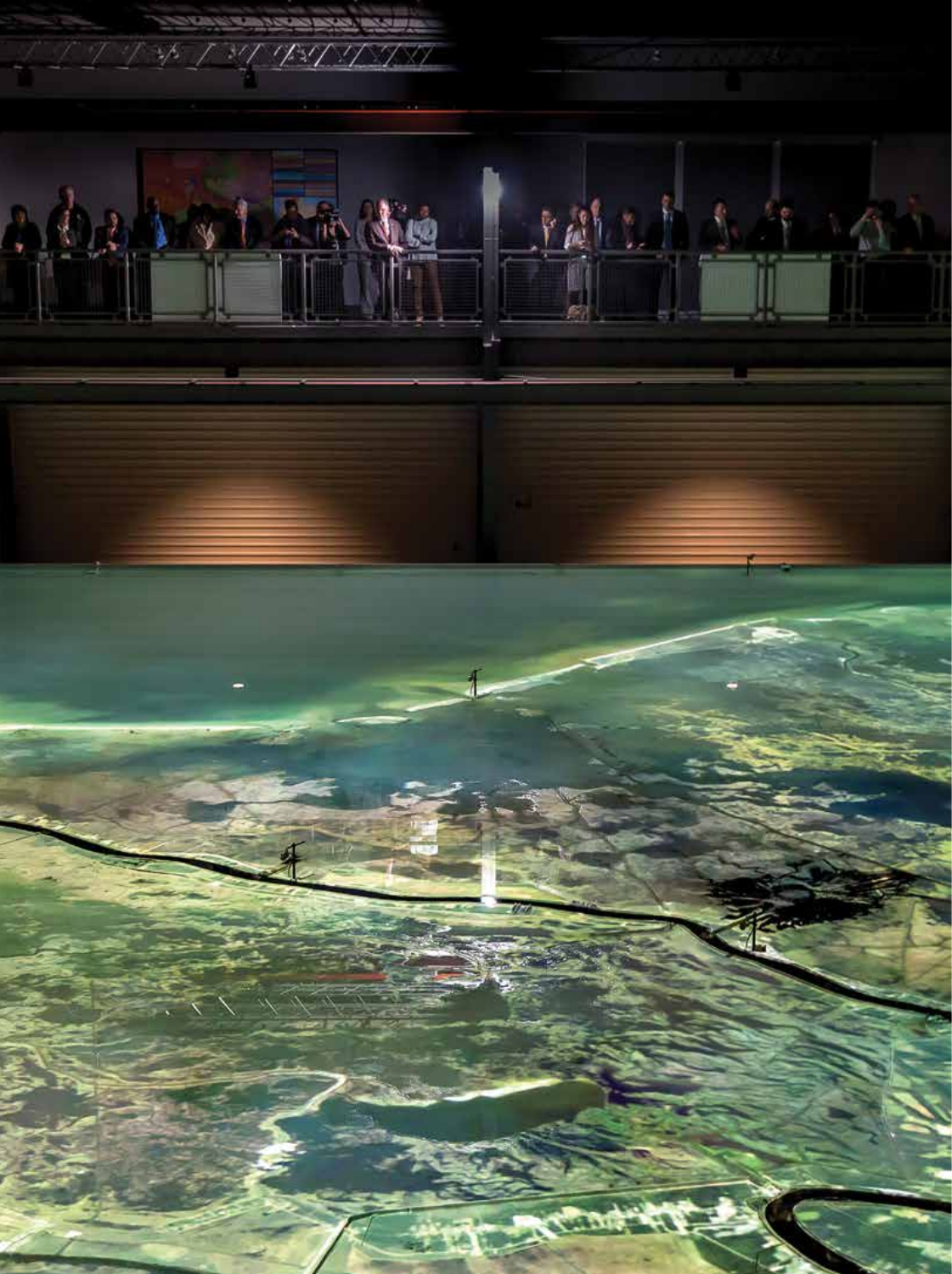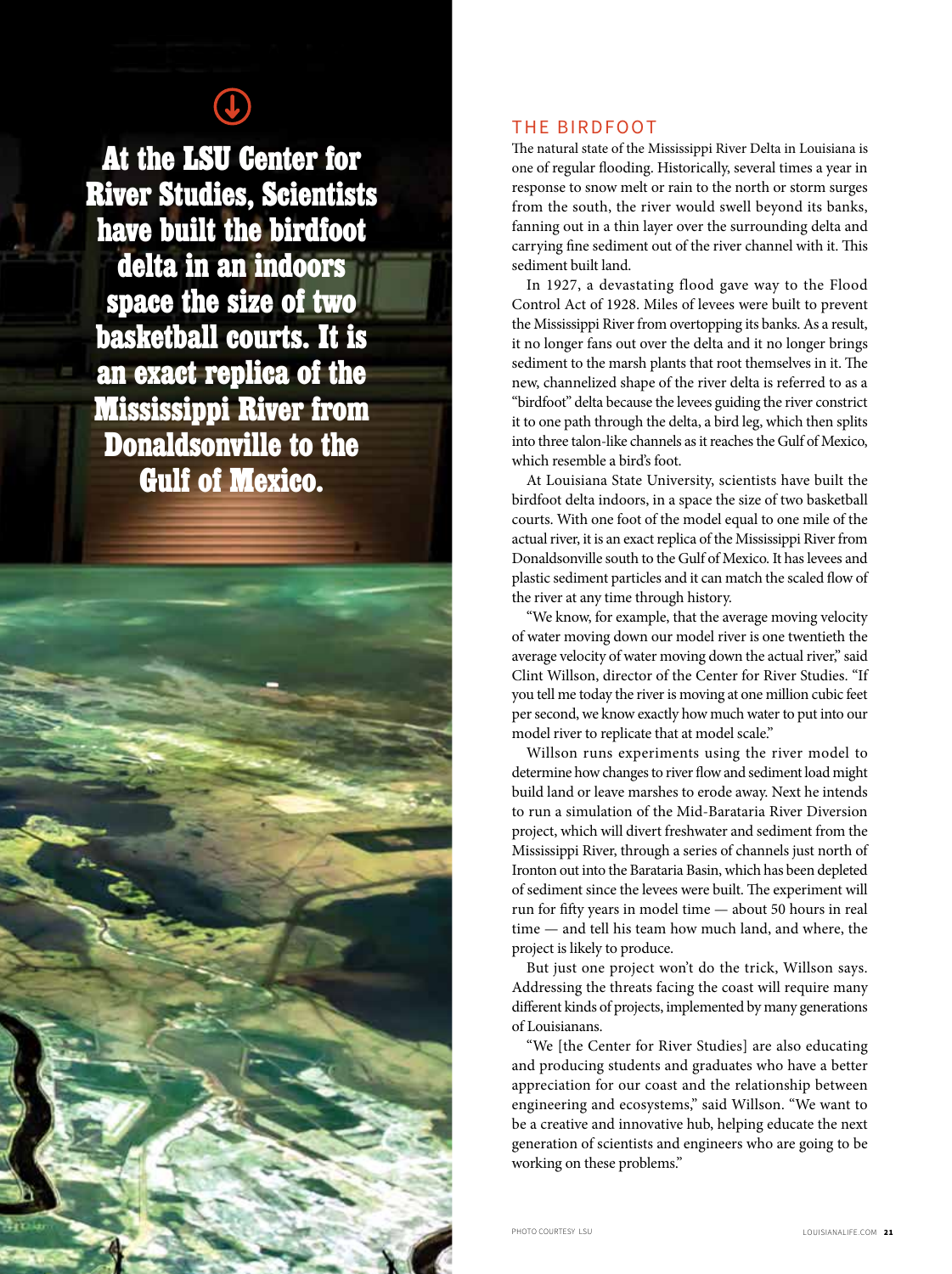**At the LSU Center for River Studies, Scientists have built the birdfoot delta in an indoors space the size of two basketball courts. It is an exact replica of the Mississippi River from Donaldsonville to the Gulf of Mexico.** 



The natural state of the Mississippi River Delta in Louisiana is one of regular flooding. Historically, several times a year in response to snow melt or rain to the north or storm surges from the south, the river would swell beyond its banks, fanning out in a thin layer over the surrounding delta and carrying fine sediment out of the river channel with it. This sediment built land.

In 1927, a devastating flood gave way to the Flood Control Act of 1928. Miles of levees were built to prevent the Mississippi River from overtopping its banks. As a result, it no longer fans out over the delta and it no longer brings sediment to the marsh plants that root themselves in it. The new, channelized shape of the river delta is referred to as a "birdfoot" delta because the levees guiding the river constrict it to one path through the delta, a bird leg, which then splits into three talon-like channels as it reaches the Gulf of Mexico, which resemble a bird's foot.

At Louisiana State University, scientists have built the birdfoot delta indoors, in a space the size of two basketball courts. With one foot of the model equal to one mile of the actual river, it is an exact replica of the Mississippi River from Donaldsonville south to the Gulf of Mexico. It has levees and plastic sediment particles and it can match the scaled flow of the river at any time through history.

"We know, for example, that the average moving velocity of water moving down our model river is one twentieth the average velocity of water moving down the actual river," said Clint Willson, director of the Center for River Studies. "If you tell me today the river is moving at one million cubic feet per second, we know exactly how much water to put into our model river to replicate that at model scale."

Willson runs experiments using the river model to determine how changes to river flow and sediment load might build land or leave marshes to erode away. Next he intends to run a simulation of the Mid-Barataria River Diversion project, which will divert freshwater and sediment from the Mississippi River, through a series of channels just north of Ironton out into the Barataria Basin, which has been depleted of sediment since the levees were built. The experiment will run for fifty years in model time — about 50 hours in real time — and tell his team how much land, and where, the project is likely to produce.

But just one project won't do the trick, Willson says. Addressing the threats facing the coast will require many different kinds of projects, implemented by many generations of Louisianans.

"We [the Center for River Studies] are also educating and producing students and graduates who have a better appreciation for our coast and the relationship between engineering and ecosystems," said Willson. "We want to be a creative and innovative hub, helping educate the next generation of scientists and engineers who are going to be working on these problems."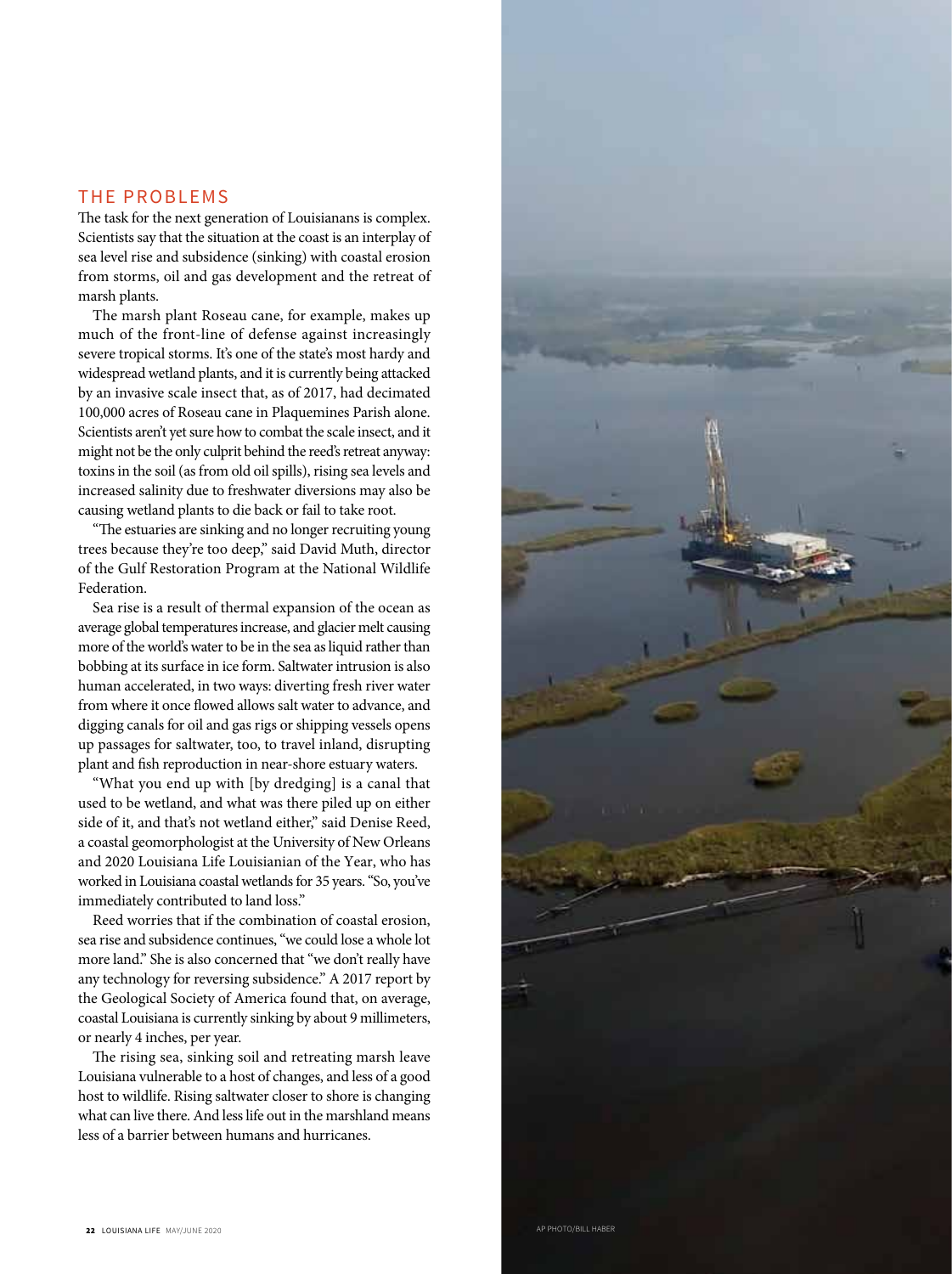#### THE PROBLEMS

The task for the next generation of Louisianans is complex. Scientists say that the situation at the coast is an interplay of sea level rise and subsidence (sinking) with coastal erosion from storms, oil and gas development and the retreat of marsh plants.

The marsh plant Roseau cane, for example, makes up much of the front-line of defense against increasingly severe tropical storms. It's one of the state's most hardy and widespread wetland plants, and it is currently being attacked by an invasive scale insect that, as of 2017, had decimated 100,000 acres of Roseau cane in Plaquemines Parish alone. Scientists aren't yet sure how to combat the scale insect, and it might not be the only culprit behind the reed's retreat anyway: toxins in the soil (as from old oil spills), rising sea levels and increased salinity due to freshwater diversions may also be causing wetland plants to die back or fail to take root.

"The estuaries are sinking and no longer recruiting young trees because they're too deep," said David Muth, director of the Gulf Restoration Program at the National Wildlife Federation.

Sea rise is a result of thermal expansion of the ocean as average global temperatures increase, and glacier melt causing more of the world's water to be in the sea as liquid rather than bobbing at its surface in ice form. Saltwater intrusion is also human accelerated, in two ways: diverting fresh river water from where it once flowed allows salt water to advance, and digging canals for oil and gas rigs or shipping vessels opens up passages for saltwater, too, to travel inland, disrupting plant and fish reproduction in near-shore estuary waters.

"What you end up with [by dredging] is a canal that used to be wetland, and what was there piled up on either side of it, and that's not wetland either," said Denise Reed, a coastal geomorphologist at the University of New Orleans and 2020 Louisiana Life Louisianian of the Year, who has worked in Louisiana coastal wetlands for 35 years. "So, you've immediately contributed to land loss."

Reed worries that if the combination of coastal erosion, sea rise and subsidence continues, "we could lose a whole lot more land." She is also concerned that "we don't really have any technology for reversing subsidence." A 2017 report by the Geological Society of America found that, on average, coastal Louisiana is currently sinking by about 9 millimeters, or nearly 4 inches, per year.

The rising sea, sinking soil and retreating marsh leave Louisiana vulnerable to a host of changes, and less of a good host to wildlife. Rising saltwater closer to shore is changing what can live there. And less life out in the marshland means less of a barrier between humans and hurricanes.

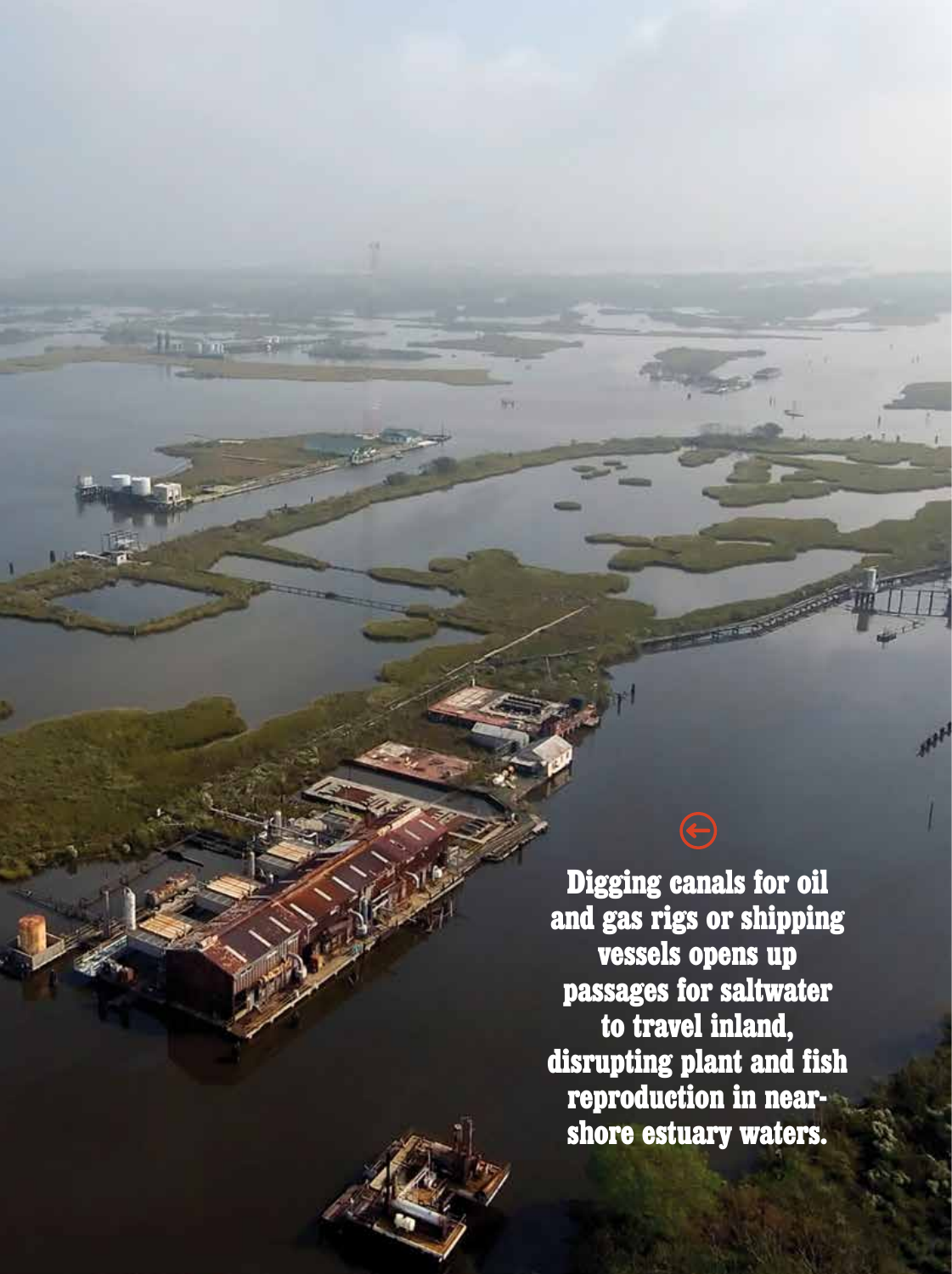**Digging canals for oil and gas rigs or shipping vessels opens up passages for saltwater to travel inland, disrupting plant and fish reproduction in nearshore estuary waters.** 

 $\mathbb{R}$  and  $\mathbb{R}^n$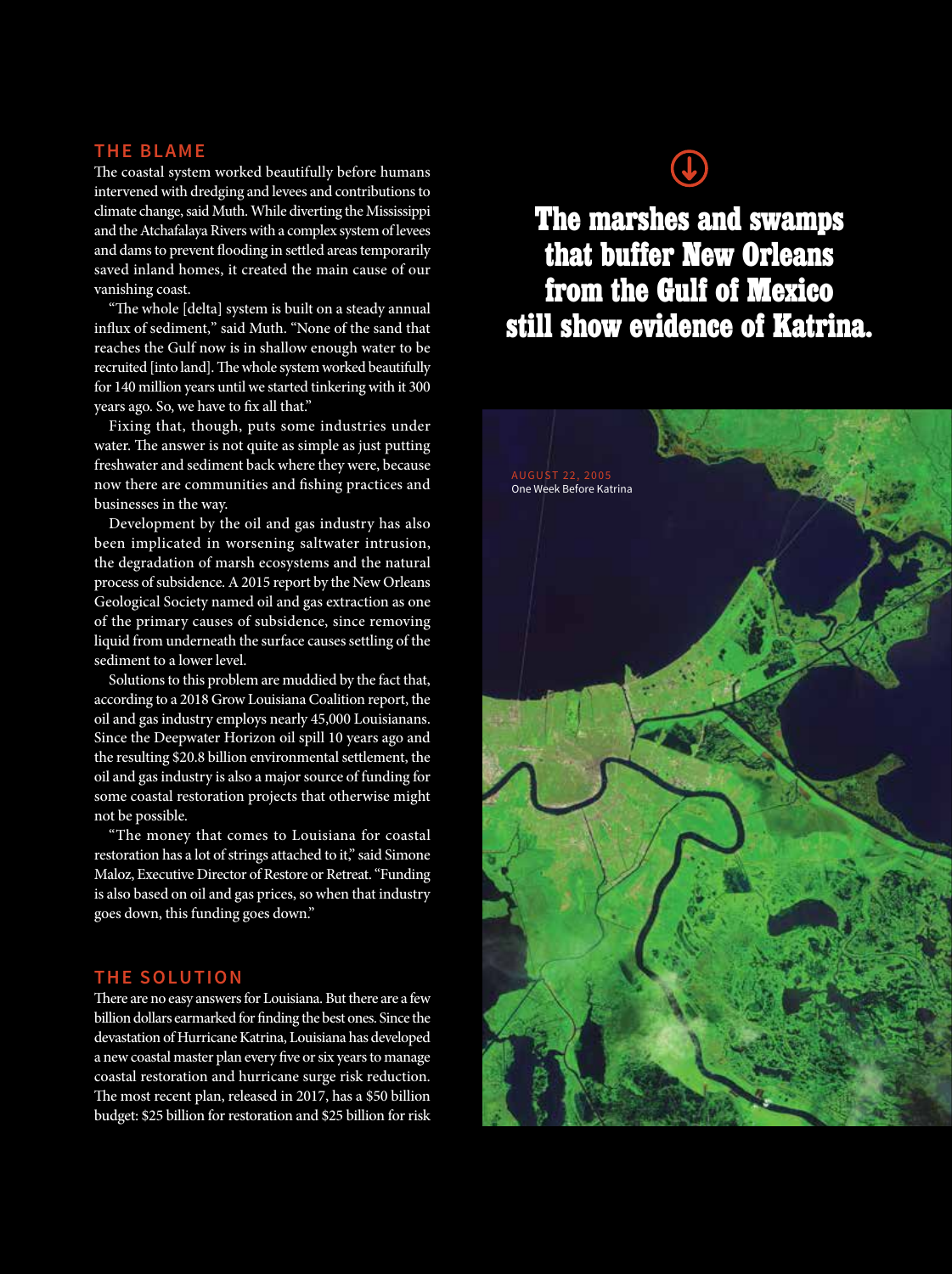#### **THE BLAME**

The coastal system worked beautifully before humans intervened with dredging and levees and contributions to climate change, said Muth. While diverting the Mississippi and the Atchafalaya Rivers with a complex system of levees and dams to prevent flooding in settled areas temporarily saved inland homes, it created the main cause of our vanishing coast.

"The whole [delta] system is built on a steady annual influx of sediment," said Muth. "None of the sand that reaches the Gulf now is in shallow enough water to be recruited [into land]. The whole system worked beautifully for 140 million years until we started tinkering with it 300 years ago. So, we have to fix all that."

Fixing that, though, puts some industries under water. The answer is not quite as simple as just putting freshwater and sediment back where they were, because now there are communities and fishing practices and businesses in the way.

Development by the oil and gas industry has also been implicated in worsening saltwater intrusion, the degradation of marsh ecosystems and the natural process of subsidence. A 2015 report by the New Orleans Geological Society named oil and gas extraction as one of the primary causes of subsidence, since removing liquid from underneath the surface causes settling of the sediment to a lower level.

Solutions to this problem are muddied by the fact that, according to a 2018 Grow Louisiana Coalition report, the oil and gas industry employs nearly 45,000 Louisianans. Since the Deepwater Horizon oil spill 10 years ago and the resulting \$20.8 billion environmental settlement, the oil and gas industry is also a major source of funding for some coastal restoration projects that otherwise might not be possible.

"The money that comes to Louisiana for coastal restoration has a lot of strings attached to it," said Simone Maloz, Executive Director of Restore or Retreat. "Funding is also based on oil and gas prices, so when that industry goes down, this funding goes down."

### **THE SOLUTION**

There are no easy answers for Louisiana. But there are a few billion dollars earmarked for finding the best ones. Since the devastation of Hurricane Katrina, Louisiana has developed a new coastal master plan every five or six years to manage coastal restoration and hurricane surge risk reduction. The most recent plan, released in 2017, has a \$50 billion budget: \$25 billion for restoration and \$25 billion for risk

## $\bigcirc$

**The marshes and swamps that buffer New Orleans from the Gulf of Mexico still show evidence of Katrina.**

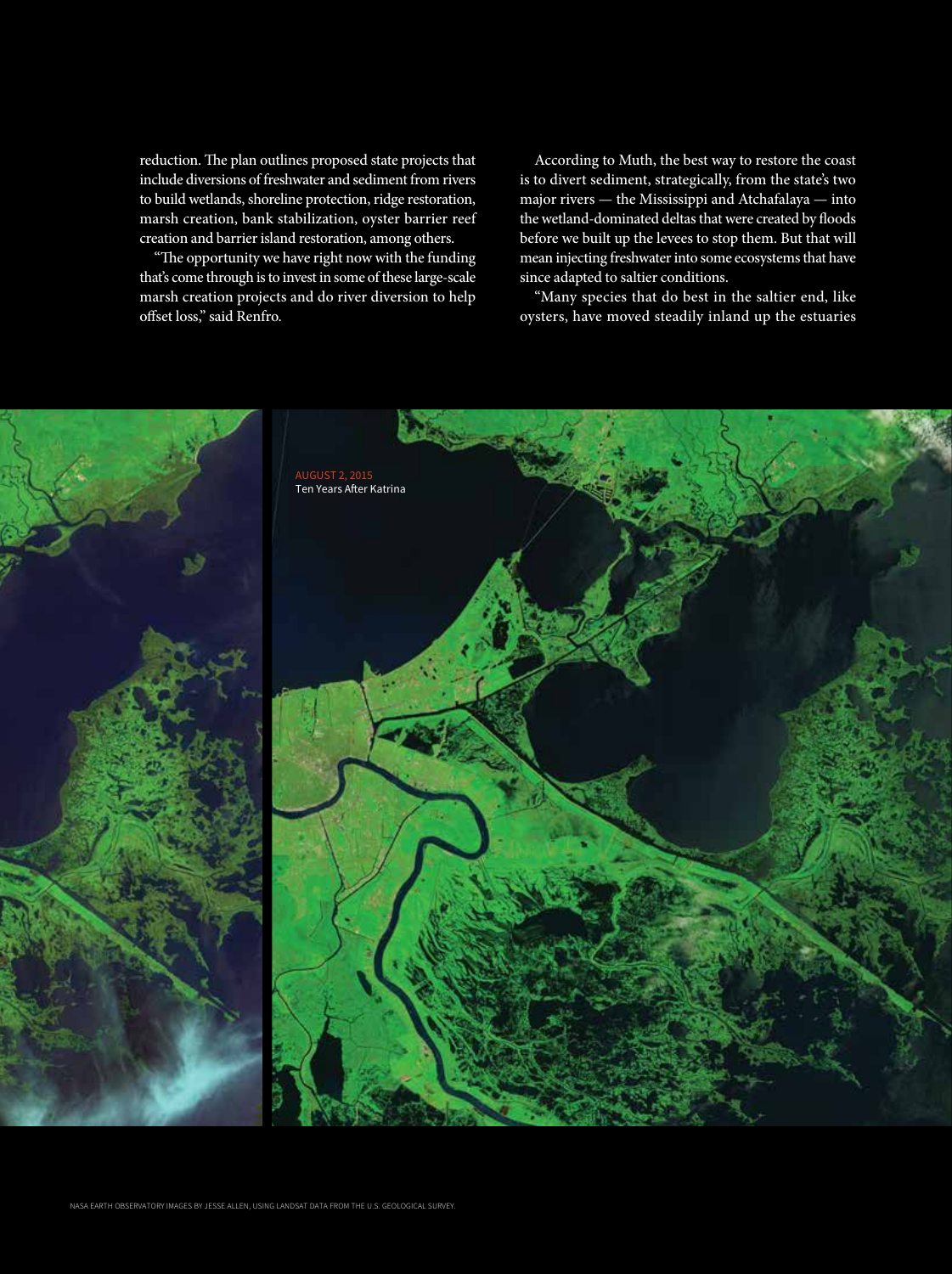reduction. The plan outlines proposed state projects that include diversions of freshwater and sediment from rivers to build wetlands, shoreline protection, ridge restoration, marsh creation, bank stabilization, oyster barrier reef creation and barrier island restoration, among others.

"The opportunity we have right now with the funding that's come through is to invest in some of these large-scale marsh creation projects and do river diversion to help offset loss," said Renfro.

According to Muth, the best way to restore the coast is to divert sediment, strategically, from the state's two major rivers — the Mississippi and Atchafalaya — into the wetland-dominated deltas that were created by floods before we built up the levees to stop them. But that will mean injecting freshwater into some ecosystems that have since adapted to saltier conditions.

"Many species that do best in the saltier end, like oysters, have moved steadily inland up the estuaries

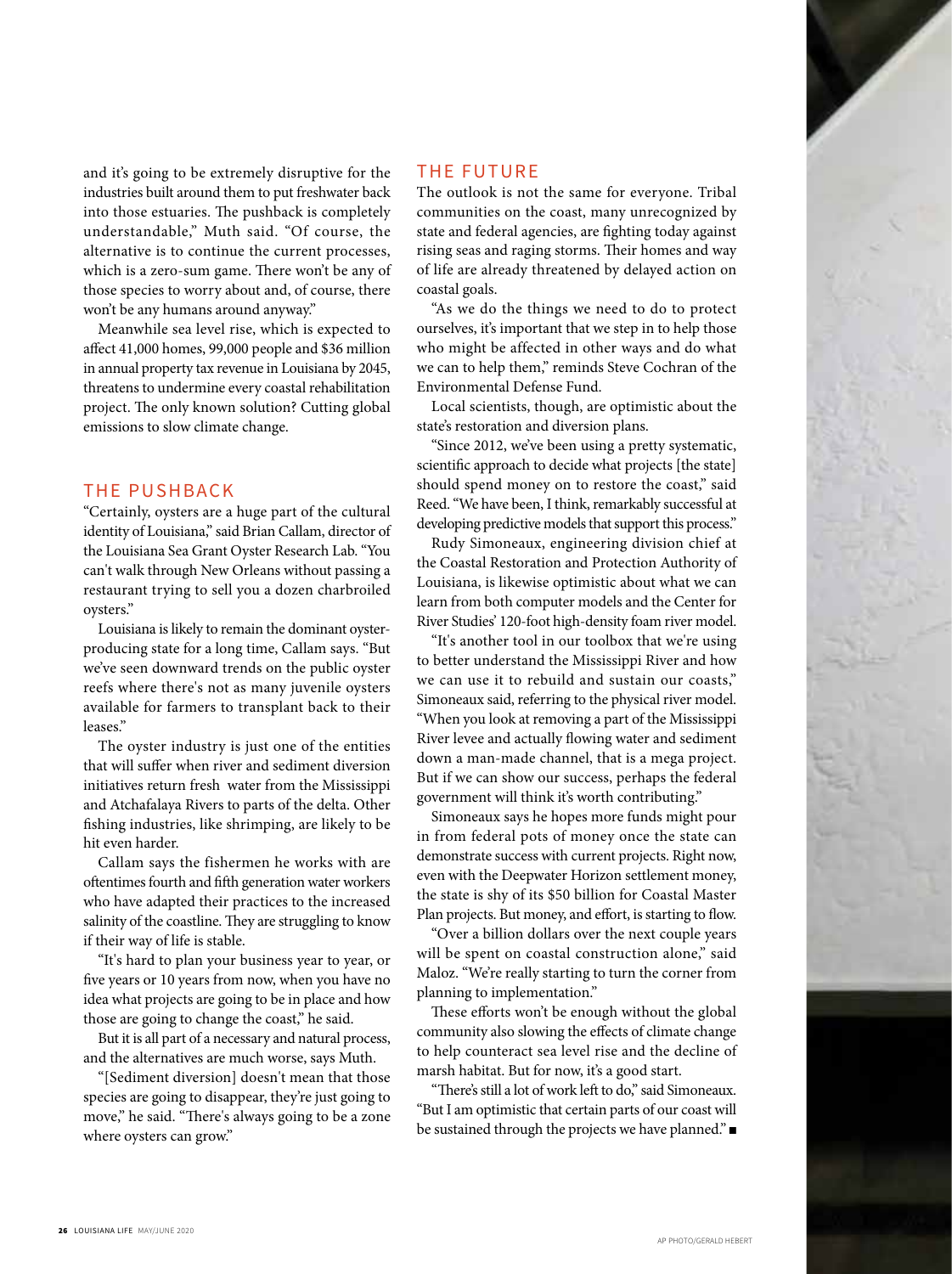and it's going to be extremely disruptive for the industries built around them to put freshwater back into those estuaries. The pushback is completely understandable," Muth said. "Of course, the alternative is to continue the current processes, which is a zero-sum game. There won't be any of those species to worry about and, of course, there won't be any humans around anyway."

Meanwhile sea level rise, which is expected to affect 41,000 homes, 99,000 people and \$36 million in annual property tax revenue in Louisiana by 2045, threatens to undermine every coastal rehabilitation project. The only known solution? Cutting global emissions to slow climate change.

#### THE PUSHBACK

"Certainly, oysters are a huge part of the cultural identity of Louisiana," said Brian Callam, director of the Louisiana Sea Grant Oyster Research Lab. "You can't walk through New Orleans without passing a restaurant trying to sell you a dozen charbroiled oysters."

Louisiana is likely to remain the dominant oysterproducing state for a long time, Callam says. "But we've seen downward trends on the public oyster reefs where there's not as many juvenile oysters available for farmers to transplant back to their leases."

The oyster industry is just one of the entities that will suffer when river and sediment diversion initiatives return fresh water from the Mississippi and Atchafalaya Rivers to parts of the delta. Other fishing industries, like shrimping, are likely to be hit even harder.

Callam says the fishermen he works with are oftentimes fourth and fifth generation water workers who have adapted their practices to the increased salinity of the coastline. They are struggling to know if their way of life is stable.

"It's hard to plan your business year to year, or five years or 10 years from now, when you have no idea what projects are going to be in place and how those are going to change the coast," he said.

But it is all part of a necessary and natural process, and the alternatives are much worse, says Muth.

"[Sediment diversion] doesn't mean that those species are going to disappear, they're just going to move," he said. "There's always going to be a zone where oysters can grow."

#### THE FUTURE

The outlook is not the same for everyone. Tribal communities on the coast, many unrecognized by state and federal agencies, are fighting today against rising seas and raging storms. Their homes and way of life are already threatened by delayed action on coastal goals.

"As we do the things we need to do to protect ourselves, it's important that we step in to help those who might be affected in other ways and do what we can to help them," reminds Steve Cochran of the Environmental Defense Fund.

Local scientists, though, are optimistic about the state's restoration and diversion plans.

"Since 2012, we've been using a pretty systematic, scientific approach to decide what projects [the state] should spend money on to restore the coast," said Reed. "We have been, I think, remarkably successful at developing predictive models that support this process."

Rudy Simoneaux, engineering division chief at the Coastal Restoration and Protection Authority of Louisiana, is likewise optimistic about what we can learn from both computer models and the Center for River Studies' 120-foot high-density foam river model.

"It's another tool in our toolbox that we're using to better understand the Mississippi River and how we can use it to rebuild and sustain our coasts," Simoneaux said, referring to the physical river model. "When you look at removing a part of the Mississippi River levee and actually flowing water and sediment down a man-made channel, that is a mega project. But if we can show our success, perhaps the federal government will think it's worth contributing."

Simoneaux says he hopes more funds might pour in from federal pots of money once the state can demonstrate success with current projects. Right now, even with the Deepwater Horizon settlement money, the state is shy of its \$50 billion for Coastal Master Plan projects. But money, and effort, is starting to flow.

"Over a billion dollars over the next couple years will be spent on coastal construction alone," said Maloz. "We're really starting to turn the corner from planning to implementation."

These efforts won't be enough without the global community also slowing the effects of climate change to help counteract sea level rise and the decline of marsh habitat. But for now, it's a good start.

"There's still a lot of work left to do," said Simoneaux. "But I am optimistic that certain parts of our coast will be sustained through the projects we have planned." $\blacksquare$